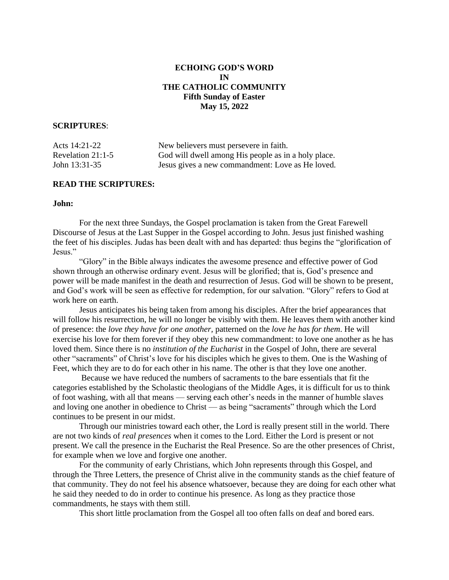# **ECHOING GOD'S WORD IN THE CATHOLIC COMMUNITY Fifth Sunday of Easter May 15, 2022**

### **SCRIPTURES**:

| Acts 14:21-22     | New believers must persevere in faith.              |
|-------------------|-----------------------------------------------------|
| Revelation 21:1-5 | God will dwell among His people as in a holy place. |
| John 13:31-35     | Jesus gives a new commandment: Love as He loved.    |

## **READ THE SCRIPTURES:**

# **John:**

 For the next three Sundays, the Gospel proclamation is taken from the Great Farewell Discourse of Jesus at the Last Supper in the Gospel according to John. Jesus just finished washing the feet of his disciples. Judas has been dealt with and has departed: thus begins the "glorification of Jesus."

 "Glory" in the Bible always indicates the awesome presence and effective power of God shown through an otherwise ordinary event. Jesus will be glorified; that is, God's presence and power will be made manifest in the death and resurrection of Jesus. God will be shown to be present, and God's work will be seen as effective for redemption, for our salvation. "Glory" refers to God at work here on earth.

 Jesus anticipates his being taken from among his disciples. After the brief appearances that will follow his resurrection, he will no longer be visibly with them. He leaves them with another kind of presence: the *love they have for one another,* patterned on the *love he has for them*. He will exercise his love for them forever if they obey this new commandment: to love one another as he has loved them. Since there is no *institution of the Eucharist* in the Gospel of John, there are several other "sacraments" of Christ's love for his disciples which he gives to them. One is the Washing of Feet, which they are to do for each other in his name. The other is that they love one another.

 Because we have reduced the numbers of sacraments to the bare essentials that fit the categories established by the Scholastic theologians of the Middle Ages, it is difficult for us to think of foot washing, with all that means — serving each other's needs in the manner of humble slaves and loving one another in obedience to Christ — as being "sacraments" through which the Lord continues to be present in our midst.

 Through our ministries toward each other, the Lord is really present still in the world. There are not two kinds of *real presences* when it comes to the Lord. Either the Lord is present or not present. We call the presence in the Eucharist the Real Presence. So are the other presences of Christ, for example when we love and forgive one another.

 For the community of early Christians, which John represents through this Gospel, and through the Three Letters, the presence of Christ alive in the community stands as the chief feature of that community. They do not feel his absence whatsoever, because they are doing for each other what he said they needed to do in order to continue his presence. As long as they practice those commandments, he stays with them still.

This short little proclamation from the Gospel all too often falls on deaf and bored ears.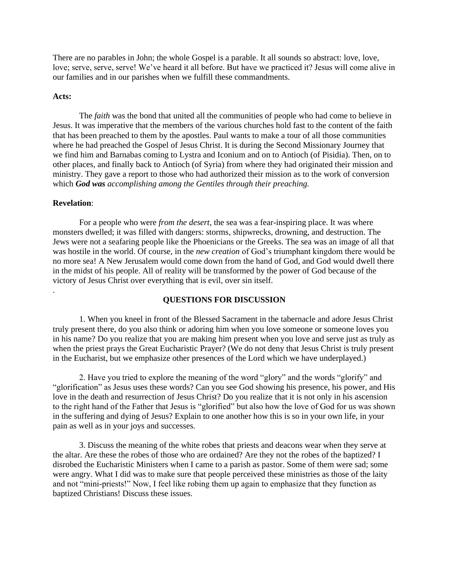There are no parables in John; the whole Gospel is a parable. It all sounds so abstract: love, love, love; serve, serve, serve! We've heard it all before. But have we practiced it? Jesus will come alive in our families and in our parishes when we fulfill these commandments.

# **Acts:**

 The *faith* was the bond that united all the communities of people who had come to believe in Jesus. It was imperative that the members of the various churches hold fast to the content of the faith that has been preached to them by the apostles. Paul wants to make a tour of all those communities where he had preached the Gospel of Jesus Christ. It is during the Second Missionary Journey that we find him and Barnabas coming to Lystra and Iconium and on to Antioch (of Pisidia). Then, on to other places, and finally back to Antioch (of Syria) from where they had originated their mission and ministry. They gave a report to those who had authorized their mission as to the work of conversion which *God was accomplishing among the Gentiles through their preaching.* 

# **Revelation**:

.

 For a people who were *from the desert,* the sea was a fear-inspiring place. It was where monsters dwelled; it was filled with dangers: storms, shipwrecks, drowning, and destruction. The Jews were not a seafaring people like the Phoenicians or the Greeks. The sea was an image of all that was hostile in the world. Of course, in the *new creation* of God's triumphant kingdom there would be no more sea! A New Jerusalem would come down from the hand of God, and God would dwell there in the midst of his people. All of reality will be transformed by the power of God because of the victory of Jesus Christ over everything that is evil, over sin itself.

# **QUESTIONS FOR DISCUSSION**

 1. When you kneel in front of the Blessed Sacrament in the tabernacle and adore Jesus Christ truly present there, do you also think or adoring him when you love someone or someone loves you in his name? Do you realize that you are making him present when you love and serve just as truly as when the priest prays the Great Eucharistic Prayer? (We do not deny that Jesus Christ is truly present in the Eucharist, but we emphasize other presences of the Lord which we have underplayed.)

 2. Have you tried to explore the meaning of the word "glory" and the words "glorify" and "glorification" as Jesus uses these words? Can you see God showing his presence, his power, and His love in the death and resurrection of Jesus Christ? Do you realize that it is not only in his ascension to the right hand of the Father that Jesus is "glorified" but also how the love of God for us was shown in the suffering and dying of Jesus? Explain to one another how this is so in your own life, in your pain as well as in your joys and successes.

 3. Discuss the meaning of the white robes that priests and deacons wear when they serve at the altar. Are these the robes of those who are ordained? Are they not the robes of the baptized? I disrobed the Eucharistic Ministers when I came to a parish as pastor. Some of them were sad; some were angry. What I did was to make sure that people perceived these ministries as those of the laity and not "mini-priests!" Now, I feel like robing them up again to emphasize that they function as baptized Christians! Discuss these issues.